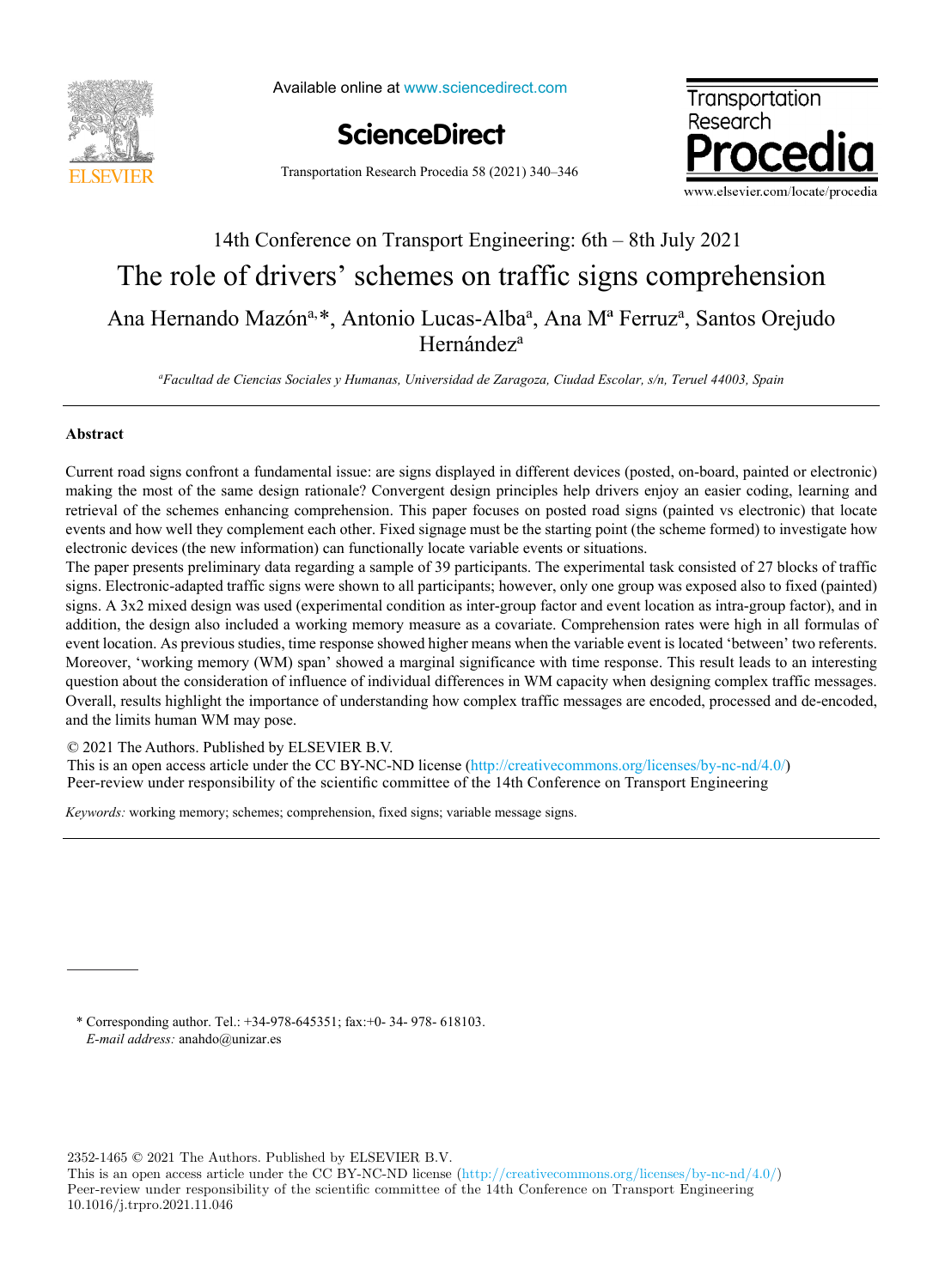

Available online at www.sciencedirect.com





Transportation Research Procedia 58 (2021) 340–346

# 14th Conference on Transport Engineering: 6th – 8th July 2021 14th Conference on Transport Engineering: 6th –8th July 2021The role of drivers' schemes on traffic signs comprehension Ana Hernando Mazón<sup>a, \*</sup>, Antonio Lucas-Alba<sup>a</sup>, Ana M<sup>a</sup> Ferruz<sup>a</sup>, Santos Orejudo Hernández<sup>a</sup>

*a Facultad de Ciencias Sociales y Humanas, Universidad de Zaragoza, Ciudad Escolar, s/n, Teruel 44003, Spain a*

# **Abstract**

Current road signs confront a fundamental issue: are signs displayed in different devices (posted, on-board, painted or electronic) making the most of the same design rationale? Convergent design principles help drivers enjoy an easier coding, learning and retrieval of the schemes enhancing comprehension. This paper focuses on posted road signs (painted vs electronic) that locate events and how well they complement each other. Fixed signage must be the starting point (the scheme formed) to investigate how electronic devices (the new information) can functionally locate variable events or situations. electronic devices (the new information) can functionally locate variable events or situations.

The paper presents preliminary data regarding a sample of 39 participants. The experimental task consisted of 27 blocks of traffic signs. Electronic-adapted traffic signs were shown to all participants; however, only one group was exposed also to fixed (painted) signs. A 3x2 mixed design was used (experimental condition as inter-group factor and event location as intra-group factor), and in addition, the design also included a working memory measure as a covariate. Comprehension rates were high in all formulas of event location. As previous studies, time response showed higher means when the variable event is located 'between' two referents. Moreover, 'working memory (WM) span' showed a marginal significance with time response. This result leads to an interesting question about the consideration of influence of individual differences in WM capacity when designing complex traffic messages. Overall, results highlight the importance of understanding how complex traffic messages are encoded, processed and de-encoded, and the limits human WM may pose. and the limits human WM may pose.

© 2021 The Authors. Published by ELSEVIER B.V.

This is an open access article under the CC BY-NC-ND license (http://creativecommons.org/licenses/by-nc-nd/4.0/) This is an open access article under the CC BY-NC-ND license (http://creativecommons.org/licenses/by-nc-nd/4.0/)<br>Peer-review under responsibility of the scientific committee of the 14th Conference on Transport Engineering Peer-review under responsibility of the scientific committee of the 14th Conference on Transport Engineering

*Keywords:* working memory; schemes; comprehension, fixed signs; variable message signs.

\* Corresponding author. Tel.: +34-978-645351; fax:+0- 34- 978- 618103. *E-mail address:* anahdo@unizar.es

2352-1465 © 2021 The Authors. Published by ELSEVIER B.V.

This is an open access article under the CC BY-NC-ND license (http://creativecommons.org/licenses/by-nc-nd/4.0/) Peer-review under responsibility of the scientific committee of the 14th Conference on Transport Engineering 10.1016/j.trpro.2021.11.046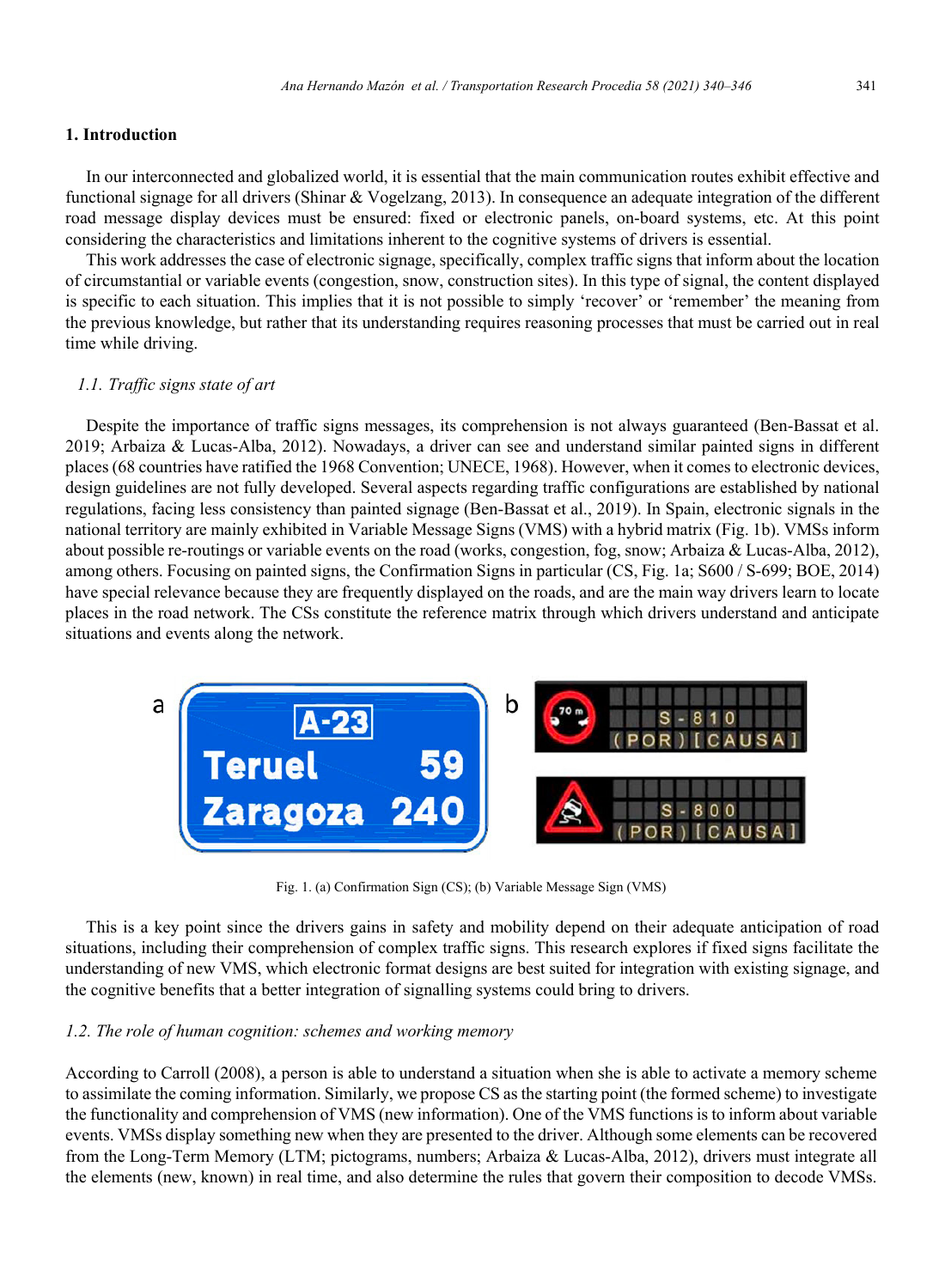#### **1. Introduction**

In our interconnected and globalized world, it is essential that the main communication routes exhibit effective and functional signage for all drivers (Shinar & Vogelzang, 2013). In consequence an adequate integration of the different road message display devices must be ensured: fixed or electronic panels, on-board systems, etc. At this point considering the characteristics and limitations inherent to the cognitive systems of drivers is essential.

This work addresses the case of electronic signage, specifically, complex traffic signs that inform about the location of circumstantial or variable events (congestion, snow, construction sites). In this type of signal, the content displayed is specific to each situation. This implies that it is not possible to simply 'recover' or 'remember' the meaning from the previous knowledge, but rather that its understanding requires reasoning processes that must be carried out in real time while driving.

#### *1.1. Traffic signs state of art*

Despite the importance of traffic signs messages, its comprehension is not always guaranteed (Ben-Bassat et al. 2019; Arbaiza & Lucas-Alba, 2012). Nowadays, a driver can see and understand similar painted signs in different places (68 countries have ratified the 1968 Convention; UNECE, 1968). However, when it comes to electronic devices, design guidelines are not fully developed. Several aspects regarding traffic configurations are established by national regulations, facing less consistency than painted signage (Ben-Bassat et al., 2019). In Spain, electronic signals in the national territory are mainly exhibited in Variable Message Signs (VMS) with a hybrid matrix (Fig. 1b). VMSs inform about possible re-routings or variable events on the road (works, congestion, fog, snow; Arbaiza & Lucas-Alba, 2012), among others. Focusing on painted signs, the Confirmation Signs in particular (CS, Fig. 1a; S600 / S-699; BOE, 2014) have special relevance because they are frequently displayed on the roads, and are the main way drivers learn to locate places in the road network. The CSs constitute the reference matrix through which drivers understand and anticipate situations and events along the network.



Fig. 1. (a) Confirmation Sign (CS); (b) Variable Message Sign (VMS)

This is a key point since the drivers gains in safety and mobility depend on their adequate anticipation of road situations, including their comprehension of complex traffic signs. This research explores if fixed signs facilitate the understanding of new VMS, which electronic format designs are best suited for integration with existing signage, and the cognitive benefits that a better integration of signalling systems could bring to drivers.

#### *1.2. The role of human cognition: schemes and working memory*

According to Carroll (2008), a person is able to understand a situation when she is able to activate a memory scheme to assimilate the coming information. Similarly, we propose CS as the starting point (the formed scheme) to investigate the functionality and comprehension of VMS (new information). One of the VMS functions is to inform about variable events. VMSs display something new when they are presented to the driver. Although some elements can be recovered from the Long-Term Memory (LTM; pictograms, numbers; Arbaiza & Lucas-Alba, 2012), drivers must integrate all the elements (new, known) in real time, and also determine the rules that govern their composition to decode VMSs.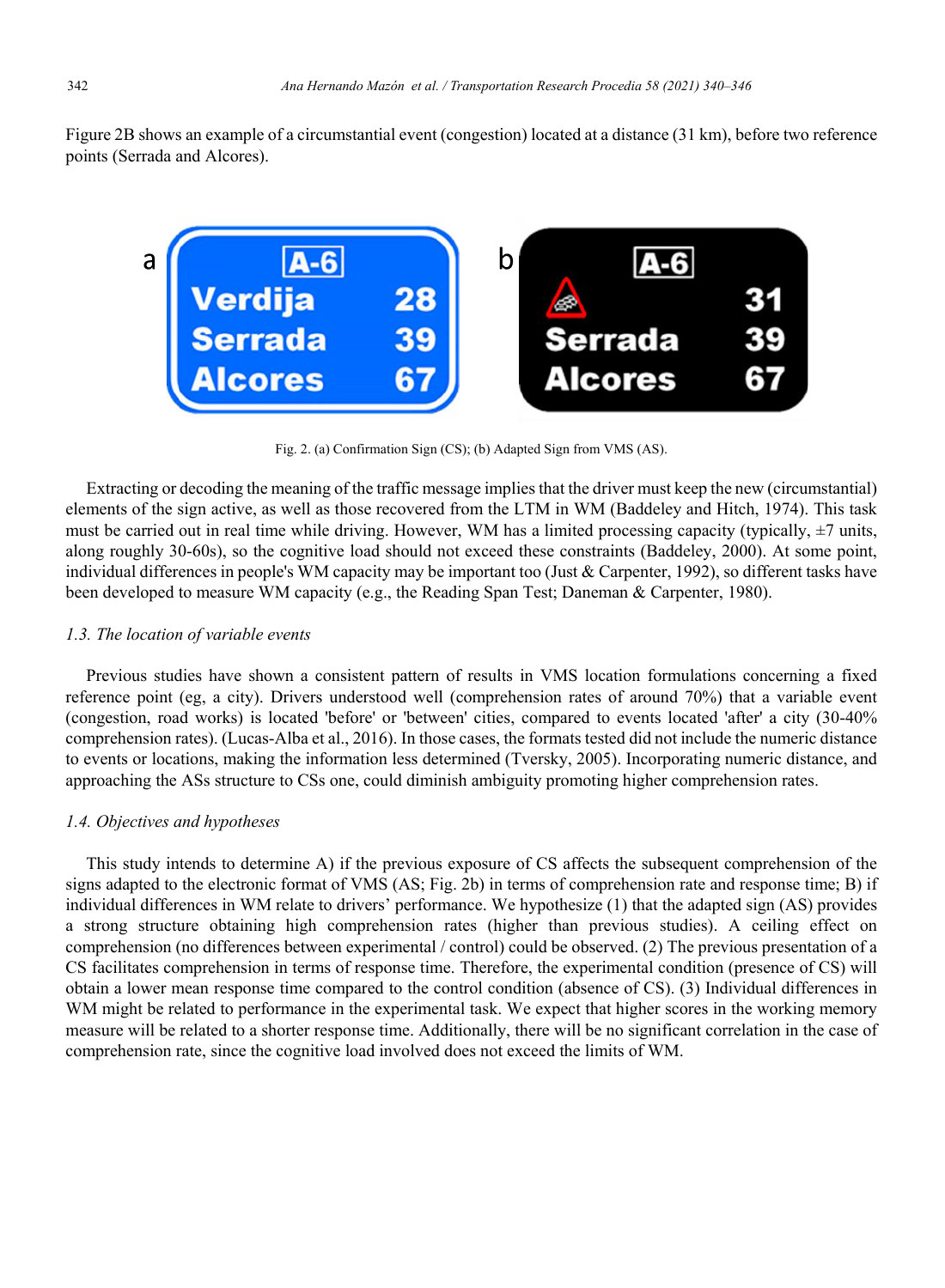Figure 2B shows an example of a circumstantial event (congestion) located at a distance (31 km), before two reference points (Serrada and Alcores).



Fig. 2. (a) Confirmation Sign (CS); (b) Adapted Sign from VMS (AS).

Extracting or decoding the meaning of the traffic message implies that the driver must keep the new (circumstantial) elements of the sign active, as well as those recovered from the LTM in WM (Baddeley and Hitch, 1974). This task must be carried out in real time while driving. However, WM has a limited processing capacity (typically,  $\pm$ 7 units, along roughly 30-60s), so the cognitive load should not exceed these constraints (Baddeley, 2000). At some point, individual differences in people's WM capacity may be important too (Just & Carpenter, 1992), so different tasks have been developed to measure WM capacity (e.g., the Reading Span Test; Daneman & Carpenter, 1980).

#### *1.3. The location of variable events*

Previous studies have shown a consistent pattern of results in VMS location formulations concerning a fixed reference point (eg, a city). Drivers understood well (comprehension rates of around 70%) that a variable event (congestion, road works) is located 'before' or 'between' cities, compared to events located 'after' a city (30-40% comprehension rates). (Lucas-Alba et al., 2016). In those cases, the formats tested did not include the numeric distance to events or locations, making the information less determined (Tversky, 2005). Incorporating numeric distance, and approaching the ASs structure to CSs one, could diminish ambiguity promoting higher comprehension rates.

# *1.4. Objectives and hypotheses*

This study intends to determine A) if the previous exposure of CS affects the subsequent comprehension of the signs adapted to the electronic format of VMS (AS; Fig. 2b) in terms of comprehension rate and response time; B) if individual differences in WM relate to drivers' performance. We hypothesize (1) that the adapted sign (AS) provides a strong structure obtaining high comprehension rates (higher than previous studies). A ceiling effect on comprehension (no differences between experimental / control) could be observed. (2) The previous presentation of a CS facilitates comprehension in terms of response time. Therefore, the experimental condition (presence of CS) will obtain a lower mean response time compared to the control condition (absence of CS). (3) Individual differences in WM might be related to performance in the experimental task. We expect that higher scores in the working memory measure will be related to a shorter response time. Additionally, there will be no significant correlation in the case of comprehension rate, since the cognitive load involved does not exceed the limits of WM.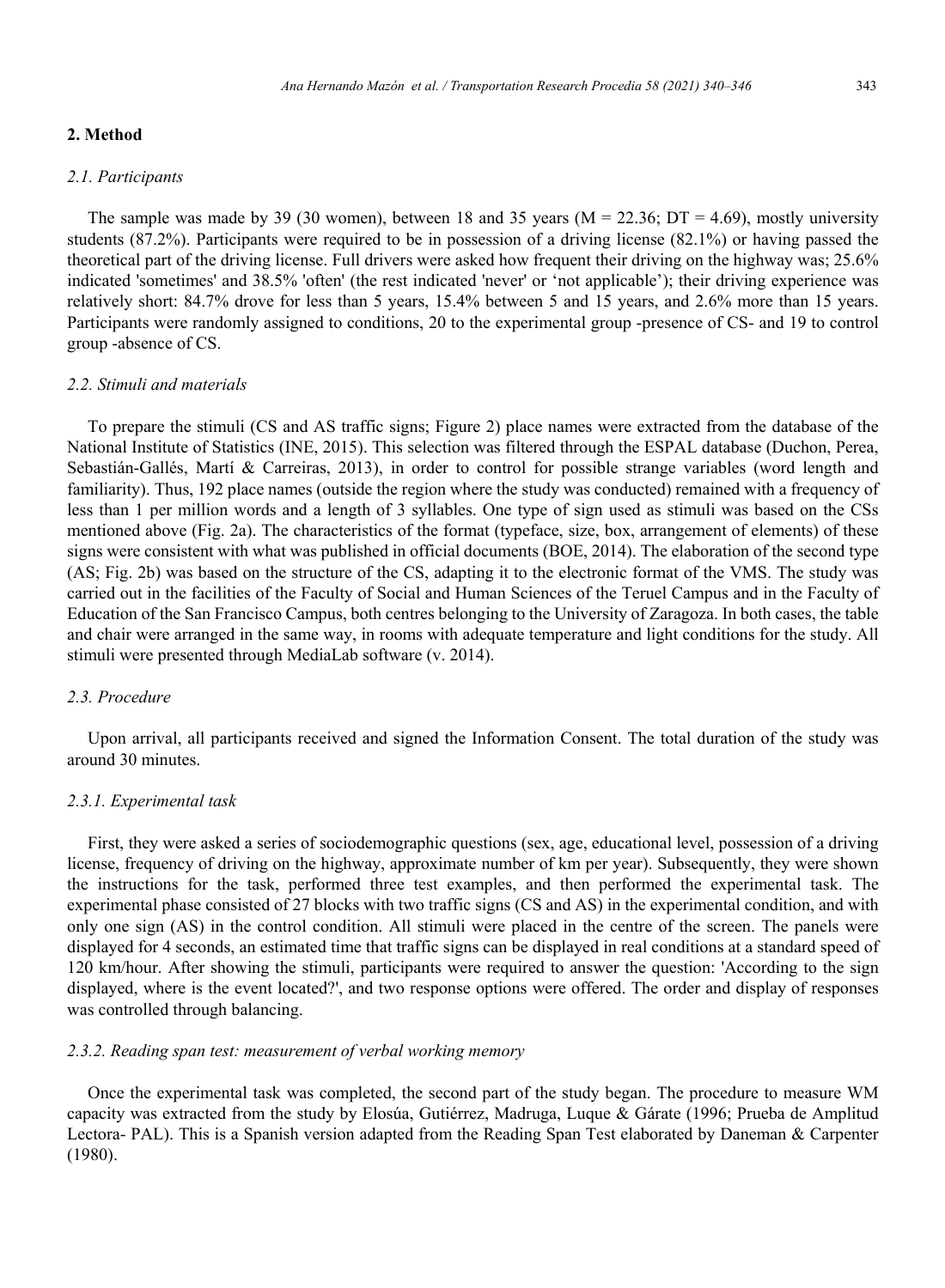# **2. Method**

#### *2.1. Participants*

The sample was made by 39 (30 women), between 18 and 35 years ( $M = 22.36$ ;  $DT = 4.69$ ), mostly university students (87.2%). Participants were required to be in possession of a driving license (82.1%) or having passed the theoretical part of the driving license. Full drivers were asked how frequent their driving on the highway was; 25.6% indicated 'sometimes' and 38.5% 'often' (the rest indicated 'never' or 'not applicable'); their driving experience was relatively short: 84.7% drove for less than 5 years, 15.4% between 5 and 15 years, and 2.6% more than 15 years. Participants were randomly assigned to conditions, 20 to the experimental group -presence of CS- and 19 to control group -absence of CS.

#### *2.2. Stimuli and materials*

To prepare the stimuli (CS and AS traffic signs; Figure 2) place names were extracted from the database of the National Institute of Statistics (INE, 2015). This selection was filtered through the ESPAL database (Duchon, Perea, Sebastián-Gallés, Martí & Carreiras, 2013), in order to control for possible strange variables (word length and familiarity). Thus, 192 place names (outside the region where the study was conducted) remained with a frequency of less than 1 per million words and a length of 3 syllables. One type of sign used as stimuli was based on the CSs mentioned above (Fig. 2a). The characteristics of the format (typeface, size, box, arrangement of elements) of these signs were consistent with what was published in official documents (BOE, 2014). The elaboration of the second type (AS; Fig. 2b) was based on the structure of the CS, adapting it to the electronic format of the VMS. The study was carried out in the facilities of the Faculty of Social and Human Sciences of the Teruel Campus and in the Faculty of Education of the San Francisco Campus, both centres belonging to the University of Zaragoza. In both cases, the table and chair were arranged in the same way, in rooms with adequate temperature and light conditions for the study. All stimuli were presented through MediaLab software (v. 2014).

#### *2.3. Procedure*

Upon arrival, all participants received and signed the Information Consent. The total duration of the study was around 30 minutes.

#### *2.3.1. Experimental task*

First, they were asked a series of sociodemographic questions (sex, age, educational level, possession of a driving license, frequency of driving on the highway, approximate number of km per year). Subsequently, they were shown the instructions for the task, performed three test examples, and then performed the experimental task. The experimental phase consisted of 27 blocks with two traffic signs (CS and AS) in the experimental condition, and with only one sign (AS) in the control condition. All stimuli were placed in the centre of the screen. The panels were displayed for 4 seconds, an estimated time that traffic signs can be displayed in real conditions at a standard speed of 120 km/hour. After showing the stimuli, participants were required to answer the question: 'According to the sign displayed, where is the event located?', and two response options were offered. The order and display of responses was controlled through balancing.

#### *2.3.2. Reading span test: measurement of verbal working memory*

Once the experimental task was completed, the second part of the study began. The procedure to measure WM capacity was extracted from the study by Elosúa, Gutiérrez, Madruga, Luque & Gárate (1996; Prueba de Amplitud Lectora- PAL). This is a Spanish version adapted from the Reading Span Test elaborated by Daneman & Carpenter (1980).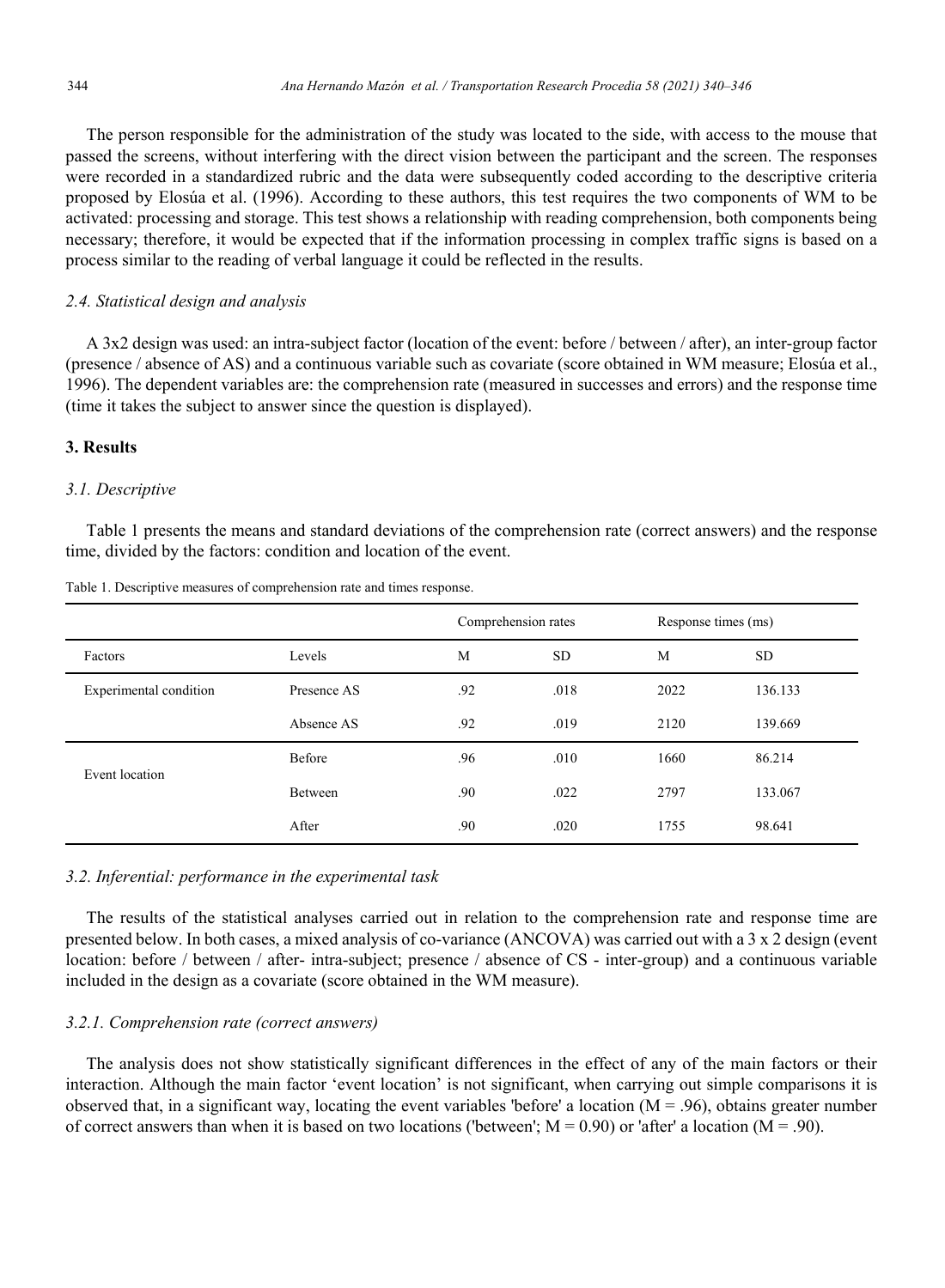The person responsible for the administration of the study was located to the side, with access to the mouse that passed the screens, without interfering with the direct vision between the participant and the screen. The responses were recorded in a standardized rubric and the data were subsequently coded according to the descriptive criteria proposed by Elosúa et al. (1996). According to these authors, this test requires the two components of WM to be activated: processing and storage. This test shows a relationship with reading comprehension, both components being necessary; therefore, it would be expected that if the information processing in complex traffic signs is based on a process similar to the reading of verbal language it could be reflected in the results.

#### *2.4. Statistical design and analysis*

A 3x2 design was used: an intra-subject factor (location of the event: before / between / after), an inter-group factor (presence / absence of AS) and a continuous variable such as covariate (score obtained in WM measure; Elosúa et al., 1996). The dependent variables are: the comprehension rate (measured in successes and errors) and the response time (time it takes the subject to answer since the question is displayed).

#### **3. Results**

#### *3.1. Descriptive*

Table 1 presents the means and standard deviations of the comprehension rate (correct answers) and the response time, divided by the factors: condition and location of the event.

|                        |                | Comprehension rates |           | Response times (ms) |           |  |
|------------------------|----------------|---------------------|-----------|---------------------|-----------|--|
| Factors                | Levels         | M                   | <b>SD</b> | M                   | <b>SD</b> |  |
| Experimental condition | Presence AS    | .92                 | .018      | 2022                | 136.133   |  |
|                        | Absence AS     | .92                 | .019      | 2120                | 139.669   |  |
| Event location         | Before         | .96                 | .010      | 1660                | 86.214    |  |
|                        | <b>Between</b> | .90                 | .022      | 2797                | 133.067   |  |
|                        | After          | .90                 | .020      | 1755                | 98.641    |  |

Table 1. Descriptive measures of comprehension rate and times response.

#### *3.2. Inferential: performance in the experimental task*

The results of the statistical analyses carried out in relation to the comprehension rate and response time are presented below. In both cases, a mixed analysis of co-variance (ANCOVA) was carried out with a 3 x 2 design (event location: before / between / after- intra-subject; presence / absence of CS - inter-group) and a continuous variable included in the design as a covariate (score obtained in the WM measure).

### *3.2.1. Comprehension rate (correct answers)*

The analysis does not show statistically significant differences in the effect of any of the main factors or their interaction. Although the main factor 'event location' is not significant, when carrying out simple comparisons it is observed that, in a significant way, locating the event variables 'before' a location  $(M = .96)$ , obtains greater number of correct answers than when it is based on two locations ('between';  $M = 0.90$ ) or 'after' a location ( $M = .90$ ).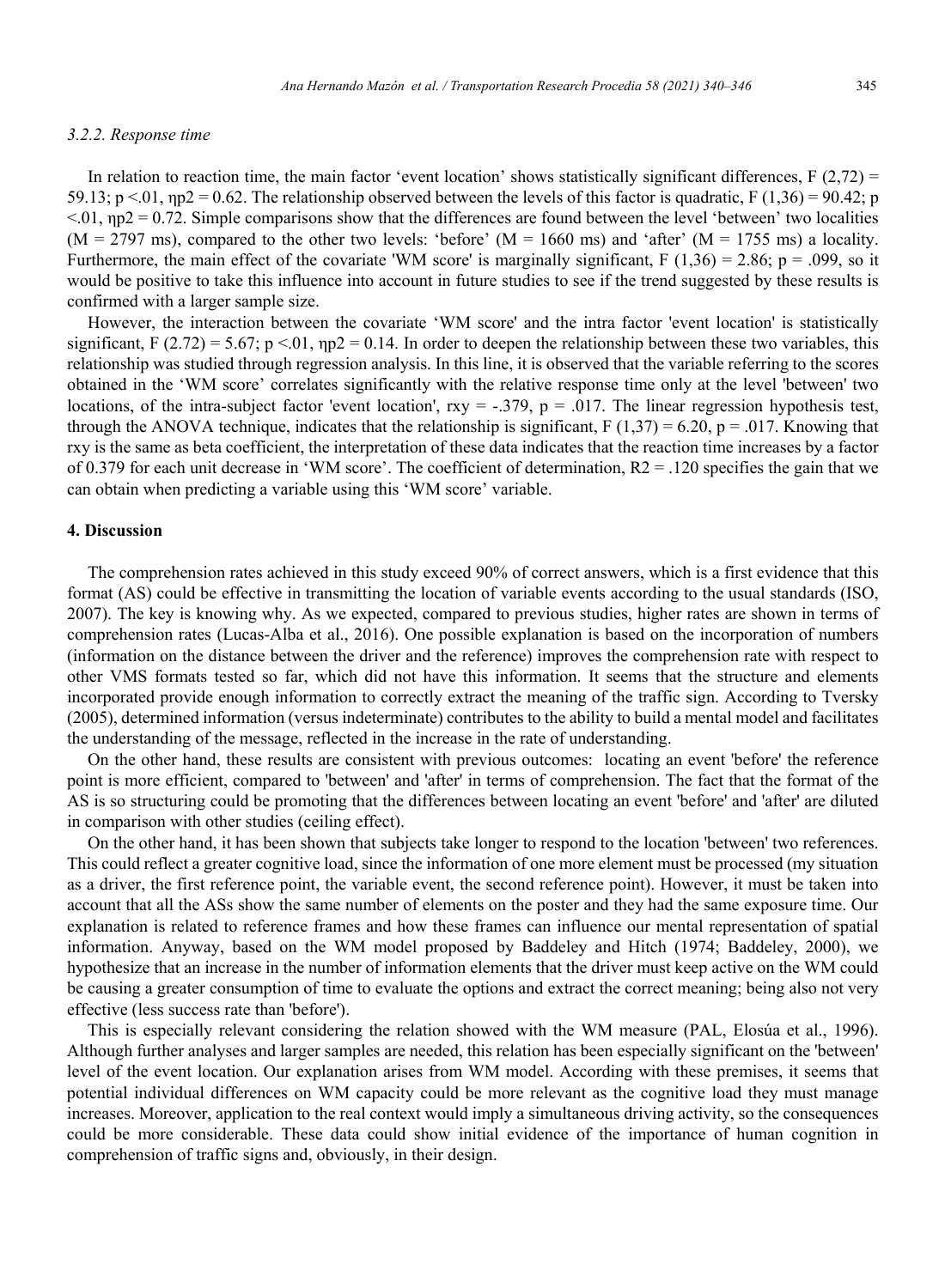#### *3.2.2. Response time*

In relation to reaction time, the main factor 'event location' shows statistically significant differences,  $F(2,72) =$ 59.13;  $p \le 0.01$ ,  $np2 = 0.62$ . The relationship observed between the levels of this factor is quadratic, F (1,36) = 90.42; p  $< 0.01$ ,  $np2 = 0.72$ . Simple comparisons show that the differences are found between the level 'between' two localities  $(M = 2797 \text{ ms})$ , compared to the other two levels: 'before'  $(M = 1660 \text{ ms})$  and 'after'  $(M = 1755 \text{ ms})$  a locality. Furthermore, the main effect of the covariate 'WM score' is marginally significant,  $F(1,36) = 2.86$ ;  $p = .099$ , so it would be positive to take this influence into account in future studies to see if the trend suggested by these results is confirmed with a larger sample size.

However, the interaction between the covariate 'WM score' and the intra factor 'event location' is statistically significant, F (2.72) = 5.67; p < 01,  $np2 = 0.14$ . In order to deepen the relationship between these two variables, this relationship was studied through regression analysis. In this line, it is observed that the variable referring to the scores obtained in the 'WM score' correlates significantly with the relative response time only at the level 'between' two locations, of the intra-subject factor 'event location',  $rxy = -.379$ ,  $p = .017$ . The linear regression hypothesis test, through the ANOVA technique, indicates that the relationship is significant,  $F(1,37) = 6.20$ ,  $p = .017$ . Knowing that rxy is the same as beta coefficient, the interpretation of these data indicates that the reaction time increases by a factor of 0.379 for each unit decrease in 'WM score'. The coefficient of determination,  $R2 = 0.120$  specifies the gain that we can obtain when predicting a variable using this 'WM score' variable.

#### **4. Discussion**

The comprehension rates achieved in this study exceed 90% of correct answers, which is a first evidence that this format (AS) could be effective in transmitting the location of variable events according to the usual standards (ISO, 2007). The key is knowing why. As we expected, compared to previous studies, higher rates are shown in terms of comprehension rates (Lucas-Alba et al., 2016). One possible explanation is based on the incorporation of numbers (information on the distance between the driver and the reference) improves the comprehension rate with respect to other VMS formats tested so far, which did not have this information. It seems that the structure and elements incorporated provide enough information to correctly extract the meaning of the traffic sign. According to Tversky (2005), determined information (versus indeterminate) contributes to the ability to build a mental model and facilitates the understanding of the message, reflected in the increase in the rate of understanding.

On the other hand, these results are consistent with previous outcomes: locating an event 'before' the reference point is more efficient, compared to 'between' and 'after' in terms of comprehension. The fact that the format of the AS is so structuring could be promoting that the differences between locating an event 'before' and 'after' are diluted in comparison with other studies (ceiling effect).

On the other hand, it has been shown that subjects take longer to respond to the location 'between' two references. This could reflect a greater cognitive load, since the information of one more element must be processed (my situation as a driver, the first reference point, the variable event, the second reference point). However, it must be taken into account that all the ASs show the same number of elements on the poster and they had the same exposure time. Our explanation is related to reference frames and how these frames can influence our mental representation of spatial information. Anyway, based on the WM model proposed by Baddeley and Hitch (1974; Baddeley, 2000), we hypothesize that an increase in the number of information elements that the driver must keep active on the WM could be causing a greater consumption of time to evaluate the options and extract the correct meaning; being also not very effective (less success rate than 'before').

This is especially relevant considering the relation showed with the WM measure (PAL, Elosúa et al., 1996). Although further analyses and larger samples are needed, this relation has been especially significant on the 'between' level of the event location. Our explanation arises from WM model. According with these premises, it seems that potential individual differences on WM capacity could be more relevant as the cognitive load they must manage increases. Moreover, application to the real context would imply a simultaneous driving activity, so the consequences could be more considerable. These data could show initial evidence of the importance of human cognition in comprehension of traffic signs and, obviously, in their design.